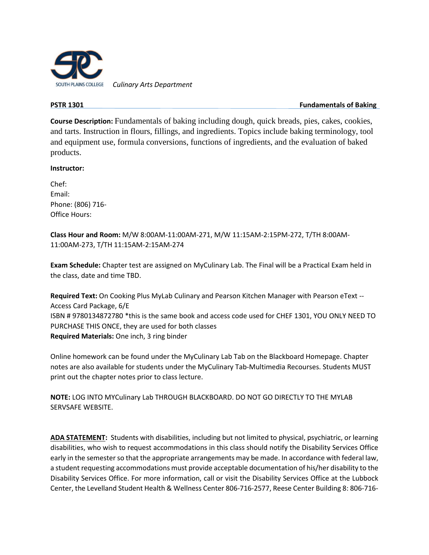

 *Culinary Arts Department*

**PSTR 1301 Fundamentals of Baking PSTR 1301** 

**Course Description:** Fundamentals of baking including dough, quick breads, pies, cakes, cookies, and tarts. Instruction in flours, fillings, and ingredients. Topics include baking terminology, tool and equipment use, formula conversions, functions of ingredients, and the evaluation of baked products.

#### **Instructor:**

Chef: Email: Phone: (806) 716- Office Hours:

**Class Hour and Room:** M/W 8:00AM-11:00AM-271, M/W 11:15AM-2:15PM-272, T/TH 8:00AM-11:00AM-273, T/TH 11:15AM-2:15AM-274

**Exam Schedule:** Chapter test are assigned on MyCulinary Lab. The Final will be a Practical Exam held in the class, date and time TBD.

**Required Text:** On Cooking Plus MyLab Culinary and Pearson Kitchen Manager with Pearson eText -- Access Card Package, 6/E ISBN # 9780134872780 \*this is the same book and access code used for CHEF 1301, YOU ONLY NEED TO PURCHASE THIS ONCE, they are used for both classes **Required Materials:** One inch, 3 ring binder

Online homework can be found under the MyCulinary Lab Tab on the Blackboard Homepage. Chapter notes are also available for students under the MyCulinary Tab-Multimedia Recourses. Students MUST print out the chapter notes prior to class lecture.

**NOTE:** LOG INTO MYCulinary Lab THROUGH BLACKBOARD. DO NOT GO DIRECTLY TO THE MYLAB SERVSAFE WEBSITE.

**ADA STATEMENT:** Students with disabilities, including but not limited to physical, psychiatric, or learning disabilities, who wish to request accommodations in this class should notify the Disability Services Office early in the semester so that the appropriate arrangements may be made. In accordance with federal law, a student requesting accommodations must provide acceptable documentation of his/her disability to the Disability Services Office. For more information, call or visit the Disability Services Office at the Lubbock Center, the Levelland Student Health & Wellness Center 806-716-2577, Reese Center Building 8: 806-716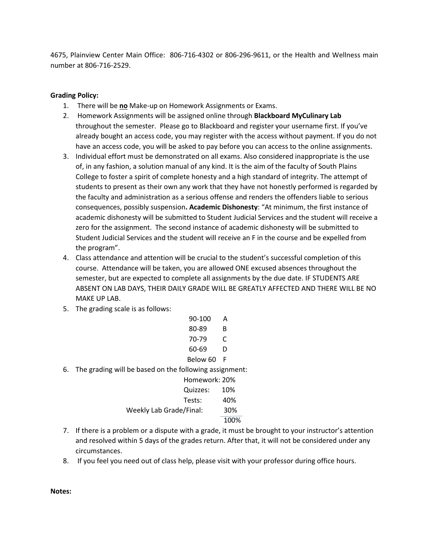4675, Plainview Center Main Office: 806-716-4302 or 806-296-9611, or the Health and Wellness main number at 806-716-2529.

### **Grading Policy:**

- 1. There will be **no** Make-up on Homework Assignments or Exams.
- 2. Homework Assignments will be assigned online through **Blackboard MyCulinary Lab**  throughout the semester. Please go to Blackboard and register your username first. If you've already bought an access code, you may register with the access without payment. If you do not have an access code, you will be asked to pay before you can access to the online assignments.
- 3. Individual effort must be demonstrated on all exams. Also considered inappropriate is the use of, in any fashion, a solution manual of any kind. It is the aim of the faculty of South Plains College to foster a spirit of complete honesty and a high standard of integrity. The attempt of students to present as their own any work that they have not honestly performed is regarded by the faculty and administration as a serious offense and renders the offenders liable to serious consequences, possibly suspension**. Academic Dishonesty**: "At minimum, the first instance of academic dishonesty will be submitted to Student Judicial Services and the student will receive a zero for the assignment. The second instance of academic dishonesty will be submitted to Student Judicial Services and the student will receive an F in the course and be expelled from the program".
- 4. Class attendance and attention will be crucial to the student's successful completion of this course. Attendance will be taken, you are allowed ONE excused absences throughout the semester, but are expected to complete all assignments by the due date. IF STUDENTS ARE ABSENT ON LAB DAYS, THEIR DAILY GRADE WILL BE GREATLY AFFECTED AND THERE WILL BE NO MAKE UP LAB.
- 5. The grading scale is as follows:

|    | 90-100                                                 | А    |
|----|--------------------------------------------------------|------|
|    | 80-89                                                  | В    |
|    | 70-79                                                  |      |
|    | 60-69                                                  | D    |
|    | Below 60                                               | - F  |
| 6. | The grading will be based on the following assignment: |      |
|    | Homework: 20%                                          |      |
|    | Quizzes:                                               | 10%  |
|    | Tests:                                                 | 40%  |
|    | Weekly Lab Grade/Final:                                | 30%  |
|    |                                                        | 100% |

- 7. If there is a problem or a dispute with a grade, it must be brought to your instructor's attention and resolved within 5 days of the grades return. After that, it will not be considered under any circumstances.
- 8. If you feel you need out of class help, please visit with your professor during office hours.

**Notes:**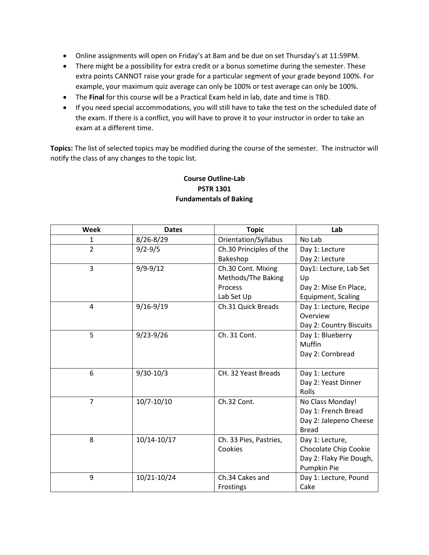- Online assignments will open on Friday's at 8am and be due on set Thursday's at 11:59PM.
- There might be a possibility for extra credit or a bonus sometime during the semester. These extra points CANNOT raise your grade for a particular segment of your grade beyond 100%. For example, your maximum quiz average can only be 100% or test average can only be 100%.
- The **Final** for this course will be a Practical Exam held in lab, date and time is TBD.
- If you need special accommodations, you will still have to take the test on the scheduled date of the exam. If there is a conflict, you will have to prove it to your instructor in order to take an exam at a different time.

**Topics:** The list of selected topics may be modified during the course of the semester. The instructor will notify the class of any changes to the topic list.

| Week           | <b>Dates</b>   | <b>Topic</b>            | Lab                     |
|----------------|----------------|-------------------------|-------------------------|
|                |                |                         |                         |
| 1              | 8/26-8/29      | Orientation/Syllabus    | No Lab                  |
| $\overline{2}$ | $9/2 - 9/5$    | Ch.30 Principles of the | Day 1: Lecture          |
|                |                | Bakeshop                | Day 2: Lecture          |
| $\overline{3}$ | $9/9 - 9/12$   | Ch.30 Cont. Mixing      | Day1: Lecture, Lab Set  |
|                |                | Methods/The Baking      | Up                      |
|                |                | Process                 | Day 2: Mise En Place,   |
|                |                | Lab Set Up              | Equipment, Scaling      |
| 4              | $9/16 - 9/19$  | Ch.31 Quick Breads      | Day 1: Lecture, Recipe  |
|                |                |                         | Overview                |
|                |                |                         | Day 2: Country Biscuits |
| 5              | $9/23 - 9/26$  | Ch. 31 Cont.            | Day 1: Blueberry        |
|                |                |                         | Muffin                  |
|                |                |                         | Day 2: Cornbread        |
|                |                |                         |                         |
| 6              | $9/30-10/3$    | CH. 32 Yeast Breads     | Day 1: Lecture          |
|                |                |                         | Day 2: Yeast Dinner     |
|                |                |                         | Rolls                   |
| $\overline{7}$ | $10/7 - 10/10$ | Ch.32 Cont.             | No Class Monday!        |
|                |                |                         | Day 1: French Bread     |
|                |                |                         | Day 2: Jalepeno Cheese  |
|                |                |                         | <b>Bread</b>            |
| 8              | 10/14-10/17    | Ch. 33 Pies, Pastries,  | Day 1: Lecture,         |
|                |                | Cookies                 | Chocolate Chip Cookie   |
|                |                |                         | Day 2: Flaky Pie Dough, |
|                |                |                         | Pumpkin Pie             |
| 9              | 10/21-10/24    | Ch.34 Cakes and         | Day 1: Lecture, Pound   |
|                |                | Frostings               | Cake                    |
|                |                |                         |                         |

# **Course Outline-Lab PSTR 1301 Fundamentals of Baking**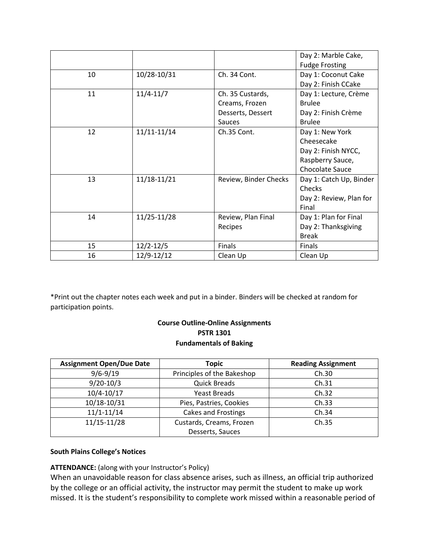|    |               |                       | Day 2: Marble Cake,     |
|----|---------------|-----------------------|-------------------------|
|    |               |                       | <b>Fudge Frosting</b>   |
| 10 | 10/28-10/31   | Ch. 34 Cont.          | Day 1: Coconut Cake     |
|    |               |                       | Day 2: Finish CCake     |
| 11 | $11/4 - 11/7$ | Ch. 35 Custards,      | Day 1: Lecture, Crème   |
|    |               | Creams, Frozen        | <b>Brulee</b>           |
|    |               | Desserts, Dessert     | Day 2: Finish Crème     |
|    |               | <b>Sauces</b>         | <b>Brulee</b>           |
| 12 | 11/11-11/14   | Ch.35 Cont.           | Day 1: New York         |
|    |               |                       | Cheesecake              |
|    |               |                       | Day 2: Finish NYCC,     |
|    |               |                       | Raspberry Sauce,        |
|    |               |                       | Chocolate Sauce         |
| 13 | 11/18-11/21   | Review, Binder Checks | Day 1: Catch Up, Binder |
|    |               |                       | Checks                  |
|    |               |                       | Day 2: Review, Plan for |
|    |               |                       | Final                   |
| 14 | 11/25-11/28   | Review, Plan Final    | Day 1: Plan for Final   |
|    |               | Recipes               | Day 2: Thanksgiving     |
|    |               |                       | <b>Break</b>            |
| 15 | $12/2 - 12/5$ | Finals                | Finals                  |
| 16 | 12/9-12/12    | Clean Up              | Clean Up                |

\*Print out the chapter notes each week and put in a binder. Binders will be checked at random for participation points.

## **Course Outline-Online Assignments PSTR 1301 Fundamentals of Baking**

| <b>Assignment Open/Due Date</b> | <b>Topic</b>               | <b>Reading Assignment</b> |
|---------------------------------|----------------------------|---------------------------|
| $9/6 - 9/19$                    | Principles of the Bakeshop | Ch.30                     |
| $9/20-10/3$                     | <b>Quick Breads</b>        | Ch.31                     |
| $10/4 - 10/17$                  | <b>Yeast Breads</b>        | Ch.32                     |
| 10/18-10/31                     | Pies, Pastries, Cookies    | Ch.33                     |
| $11/1 - 11/14$                  | Cakes and Frostings        | Ch.34                     |
| $11/15 - 11/28$                 | Custards, Creams, Frozen   | Ch.35                     |
|                                 | Desserts, Sauces           |                           |

## **South Plains College's Notices**

## **ATTENDANCE:** (along with your Instructor's Policy)

When an unavoidable reason for class absence arises, such as illness, an official trip authorized by the college or an official activity, the instructor may permit the student to make up work missed. It is the student's responsibility to complete work missed within a reasonable period of